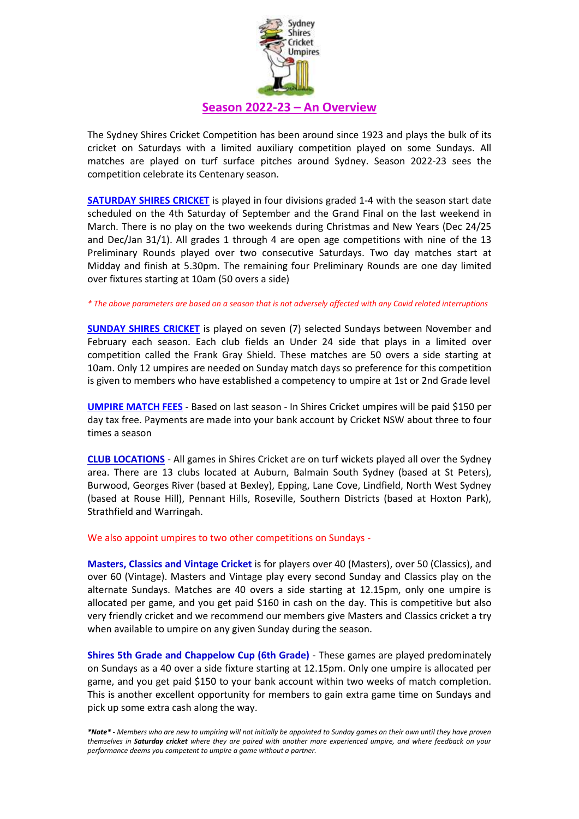

The Sydney Shires Cricket Competition has been around since 1923 and plays the bulk of its cricket on Saturdays with a limited auxiliary competition played on some Sundays. All matches are played on turf surface pitches around Sydney. Season 2022-23 sees the competition celebrate its Centenary season.

**SATURDAY SHIRES CRICKET** is played in four divisions graded 1-4 with the season start date scheduled on the 4th Saturday of September and the Grand Final on the last weekend in March. There is no play on the two weekends during Christmas and New Years (Dec 24/25 and Dec/Jan 31/1). All grades 1 through 4 are open age competitions with nine of the 13 Preliminary Rounds played over two consecutive Saturdays. Two day matches start at Midday and finish at 5.30pm. The remaining four Preliminary Rounds are one day limited over fixtures starting at 10am (50 overs a side)

## *\* The above parameters are based on a season that is not adversely affected with any Covid related interruptions*

**SUNDAY SHIRES CRICKET** is played on seven (7) selected Sundays between November and February each season. Each club fields an Under 24 side that plays in a limited over competition called the Frank Gray Shield. These matches are 50 overs a side starting at 10am. Only 12 umpires are needed on Sunday match days so preference for this competition is given to members who have established a competency to umpire at 1st or 2nd Grade level

**UMPIRE MATCH FEES** - Based on last season - In Shires Cricket umpires will be paid \$150 per day tax free. Payments are made into your bank account by Cricket NSW about three to four times a season

**CLUB LOCATIONS** - All games in Shires Cricket are on turf wickets played all over the Sydney area. There are 13 clubs located at Auburn, Balmain South Sydney (based at St Peters), Burwood, Georges River (based at Bexley), Epping, Lane Cove, Lindfield, North West Sydney (based at Rouse Hill), Pennant Hills, Roseville, Southern Districts (based at Hoxton Park), Strathfield and Warringah.

## We also appoint umpires to two other competitions on Sundays -

**Masters, Classics and Vintage Cricket** is for players over 40 (Masters), over 50 (Classics), and over 60 (Vintage). Masters and Vintage play every second Sunday and Classics play on the alternate Sundays. Matches are 40 overs a side starting at 12.15pm, only one umpire is allocated per game, and you get paid \$160 in cash on the day. This is competitive but also very friendly cricket and we recommend our members give Masters and Classics cricket a try when available to umpire on any given Sunday during the season.

**Shires 5th Grade and Chappelow Cup (6th Grade)** - These games are played predominately on Sundays as a 40 over a side fixture starting at 12.15pm. Only one umpire is allocated per game, and you get paid \$150 to your bank account within two weeks of match completion. This is another excellent opportunity for members to gain extra game time on Sundays and pick up some extra cash along the way.

*\*Note\* - Members who are new to umpiring will not initially be appointed to Sunday games on their own until they have proven themselves in Saturday cricket where they are paired with another more experienced umpire, and where feedback on your performance deems you competent to umpire a game without a partner.*